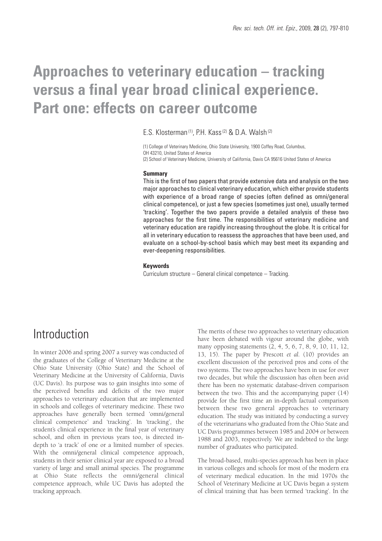# **Approaches to veterinary education – tracking versus a final year broad clinical experience. Part one: effects on career outcome**

### E.S. Klosterman<sup>(1)</sup>, P.H. Kass<sup>(2)</sup> & D.A. Walsh<sup>(2)</sup>

(1) College of Veterinary Medicine, Ohio State University, 1900 Coffey Road, Columbus, OH 43210, United States of America (2) School of Veterinary Medicine, University of California, Davis CA 95616 United States of America

#### **Summary**

This is the first of two papers that provide extensive data and analysis on the two major approaches to clinical veterinary education, which either provide students with experience of a broad range of species (often defined as omni/general clinical competence), or just a few species (sometimes just one), usually termed 'tracking'. Together the two papers provide a detailed analysis of these two approaches for the first time. The responsibilities of veterinary medicine and veterinary education are rapidly increasing throughout the globe. It is critical for all in veterinary education to reassess the approaches that have been used, and evaluate on a school-by-school basis which may best meet its expanding and ever-deepening responsibilities.

#### **Keywords**

Curriculum structure – General clinical competence – Tracking.

## **Introduction**

In winter 2006 and spring 2007 a survey was conducted of the graduates of the College of Veterinary Medicine at the Ohio State University (Ohio State) and the School of Veterinary Medicine at the University of California, Davis (UC Davis). Its purpose was to gain insights into some of the perceived benefits and deficits of the two major approaches to veterinary education that are implemented in schools and colleges of veterinary medicine. These two approaches have generally been termed 'omni/general clinical competence' and 'tracking'. In 'tracking', the student's clinical experience in the final year of veterinary school, and often in previous years too, is directed indepth to 'a track' of one or a limited number of species. With the omni/general clinical competence approach, students in their senior clinical year are exposed to a broad variety of large and small animal species. The programme at Ohio State reflects the omni/general clinical competence approach, while UC Davis has adopted the tracking approach.

The merits of these two approaches to veterinary education have been debated with vigour around the globe, with many opposing statements (2, 4, 5, 6, 7, 8, 9, 10, 11, 12, 13, 15). The paper by Prescott *et al.* (10) provides an excellent discussion of the perceived pros and cons of the two systems. The two approaches have been in use for over two decades, but while the discussion has often been avid there has been no systematic database-driven comparison between the two. This and the accompanying paper (14) provide for the first time an in-depth factual comparison between these two general approaches to veterinary education. The study was initiated by conducting a survey of the veterinarians who graduated from the Ohio State and UC Davis programmes between 1985 and 2004 or between 1988 and 2003, respectively. We are indebted to the large number of graduates who participated.

The broad-based, multi-species approach has been in place in various colleges and schools for most of the modern era of veterinary medical education. In the mid 1970s the School of Veterinary Medicine at UC Davis began a system of clinical training that has been termed 'tracking'. In the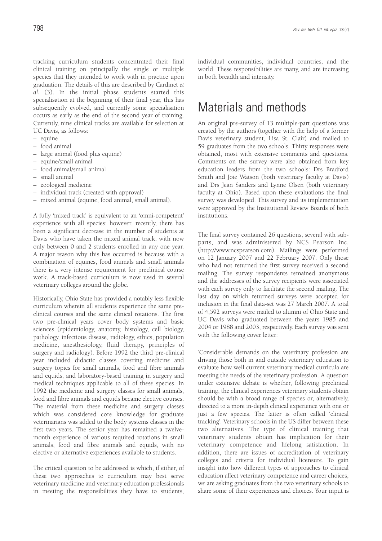tracking curriculum students concentrated their final clinical training on principally the single or multiple species that they intended to work with in practice upon graduation. The details of this are described by Cardinet *et al.* (3). In the initial phase students started this specialisation at the beginning of their final year, this has subsequently evolved, and currently some specialisation occurs as early as the end of the second year of training. Currently, nine clinical tracks are available for selection at UC Davis, as follows:

- equine
- food animal
- large animal (food plus equine)
- equine/small animal
- food animal/small animal
- small animal
- zoological medicine
- individual track (created with approval)
- mixed animal (equine, food animal, small animal).

A fully 'mixed track' is equivalent to an 'omni-competent' experience with all species; however, recently, there has been a significant decrease in the number of students at Davis who have taken the mixed animal track, with now only between 0 and 2 students enrolled in any one year. A major reason why this has occurred is because with a combination of equines, food animals and small animals there is a very intense requirement for preclinical course work. A track-based curriculum is now used in several veterinary colleges around the globe.

Historically, Ohio State has provided a notably less flexible curriculum wherein all students experience the same preclinical courses and the same clinical rotations. The first two pre-clinical years cover body systems and basic sciences (epidemiology, anatomy, histology, cell biology, pathology, infectious disease, radiology, ethics, population medicine, anesthesiology, fluid therapy, principles of surgery and radiology). Before 1992 the third pre-clinical year included didactic classes covering medicine and surgery topics for small animals, food and fibre animals and equids, and laboratory-based training in surgery and medical techniques applicable to all of these species. In 1992 the medicine and surgery classes for small animals, food and fibre animals and equids became elective courses. The material from these medicine and surgery classes which was considered core knowledge for graduate veterinarians was added to the body systems classes in the first two years. The senior year has remained a twelvemonth experience of various required rotations in small animals, food and fibre animals and equids, with no elective or alternative experiences available to students.

The critical question to be addressed is which, if either, of these two approaches to curriculum may best serve veterinary medicine and veterinary education professionals in meeting the responsibilities they have to students, individual communities, individual countries, and the world. These responsibilities are many, and are increasing in both breadth and intensity.

## Materials and methods

An original pre-survey of 13 multiple-part questions was created by the authors (together with the help of a former Davis veterinary student, Lisa St. Clair) and mailed to 59 graduates from the two schools. Thirty responses were obtained, most with extensive comments and questions. Comments on the survey were also obtained from key education leaders from the two schools: Drs Bradford Smith and Joie Watson (both veterinary faculty at Davis) and Drs Jean Sanders and Lynne Olsen (both veterinary faculty at Ohio). Based upon these evaluations the final survey was developed. This survey and its implementation were approved by the Institutional Review Boards of both institutions.

The final survey contained 26 questions, several with subparts, and was administered by NCS Pearson Inc. (http://www.ncspearson.com). Mailings were performed on 12 January 2007 and 22 February 2007. Only those who had not returned the first survey received a second mailing. The survey respondents remained anonymous and the addresses of the survey recipients were associated with each survey only to facilitate the second mailing. The last day on which returned surveys were accepted for inclusion in the final data-set was 27 March 2007. A total of 4,592 surveys were mailed to alumni of Ohio State and UC Davis who graduated between the years 1985 and 2004 or 1988 and 2003, respectively. Each survey was sent with the following cover letter:

'Considerable demands on the veterinary profession are driving those both in and outside veterinary education to evaluate how well current veterinary medical curricula are meeting the needs of the veterinary profession. A question under extensive debate is whether, following preclinical training, the clinical experiences veterinary students obtain should be with a broad range of species or, alternatively, directed to a more in-depth clinical experience with one or just a few species. The latter is often called 'clinical tracking'. Veterinary schools in the US differ between these two alternatives. The type of clinical training that veterinary students obtain has implication for their veterinary competence and lifelong satisfaction. In addition, there are issues of accreditation of veterinary colleges and criteria for individual licensure. To gain insight into how different types of approaches to clinical education affect veterinary competence and career choices, we are asking graduates from the two veterinary schools to share some of their experiences and choices. Your input is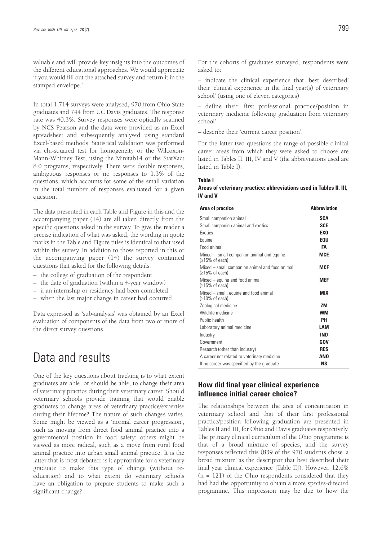valuable and will provide key insights into the outcomes of the different educational approaches. We would appreciate if you would fill out the attached survey and return it in the stamped envelope.'

In total 1,714 surveys were analysed, 970 from Ohio State graduates and 744 from UC Davis graduates. The response rate was 40.3%. Survey responses were optically scanned by NCS Pearson and the data were provided as an Excel spreadsheet and subsequently analysed using standard Excel-based methods. Statistical validation was performed via chi-squared test for homogeneity or the Wilcoxon-Mann-Whitney Test, using the Minitab14 or the StatXact 8.0 programs, respectively. There were double responses, ambiguous responses or no responses to 1.3% of the questions, which accounts for some of the small variation in the total number of responses evaluated for a given question.

The data presented in each Table and Figure in this and the accompanying paper (14) are all taken directly from the specific questions asked in the survey. To give the reader a precise indication of what was asked, the wording in quote marks in the Table and Figure titles is identical to that used within the survey. In addition to those reported in this or the accompanying paper (14) the survey contained questions that asked for the following details:

- the college of graduation of the respondent
- the date of graduation (within a 4-year window)
- if an internship or residency had been completed
- when the last major change in career had occurred.

Data expressed as 'sub-analysis' was obtained by an Excel evaluation of components of the data from two or more of the direct survey questions.

## Data and results

One of the key questions about tracking is to what extent graduates are able, or should be able, to change their area of veterinary practice during their veterinary career. Should veterinary schools provide training that would enable graduates to change areas of veterinary practice/expertise during their lifetime? The nature of such changes varies. Some might be viewed as a 'normal career progression', such as moving from direct food animal practice into a governmental position in food safety; others might be viewed as more radical, such as a move from rural food animal practice into urban small animal practice. It is the latter that is most debated: is it appropriate for a veterinary graduate to make this type of change (without reeducation) and to what extent do veterinary schools have an obligation to prepare students to make such a significant change?

– indicate the clinical experience that 'best described' their 'clinical experience in the final year(s) of veterinary school' (using one of eleven categories)

– define their 'first professional practice/position in veterinary medicine following graduation from veterinary school'

– describe their 'current career position'.

For the latter two questions the range of possible clinical career areas from which they were asked to choose are listed in Tables II, III, IV and V (the abbreviations used are listed in Table I).

#### **Table I**

asked to:

#### **Areas of veterinary practice: abbreviations used in Tables II, III, IV and V**

| Area of practice                                                   | <b>Abbreviation</b> |
|--------------------------------------------------------------------|---------------------|
| Small companion animal                                             | <b>SCA</b>          |
| Small companion animal and exotics                                 | <b>SCE</b>          |
| <b>Exotics</b>                                                     | <b>EXO</b>          |
| Equine                                                             | <b>EOU</b>          |
| Food animal                                                        | FA                  |
| $Mixed - small companion animal and equine$<br>$(≥15%$ of each)    | <b>MCE</b>          |
| Mixed – small companion animal and food animal<br>$(≥15%$ of each) | <b>MCF</b>          |
| Mixed – equine and food animal<br>$(215\% \text{ of each})$        | <b>MEF</b>          |
| Mixed – small, equine and food animal<br>$(210\% \text{ of each})$ | <b>MIX</b>          |
| Zoological medicine                                                | <b>ZM</b>           |
| Wildlife medicine                                                  | <b>WM</b>           |
| Public health                                                      | PН                  |
| Laboratory animal medicine                                         | LAM                 |
| Industry                                                           | <b>IND</b>          |
| Government                                                         | GOV                 |
| Research (other than industry)                                     | <b>RES</b>          |
| A career not related to veterinary medicine                        | <b>ANO</b>          |
| If no career was specified by the graduate                         | ΝS                  |

### **How did final year clinical experience influence initial career choice?**

The relationships between the area of concentration in veterinary school and that of their first professional practice/position following graduation are presented in Tables II and III, for Ohio and Davis graduates respectively. The primary clinical curriculum of the Ohio programme is that of a broad mixture of species, and the survey responses reflected this (839 of the 970 students chose 'a broad mixture' as the descriptor that best described their final year clinical experience [Table II]). However, 12.6%  $(n = 121)$  of the Ohio respondents considered that they had had the opportunity to obtain a more species-directed programme. This impression may be due to how the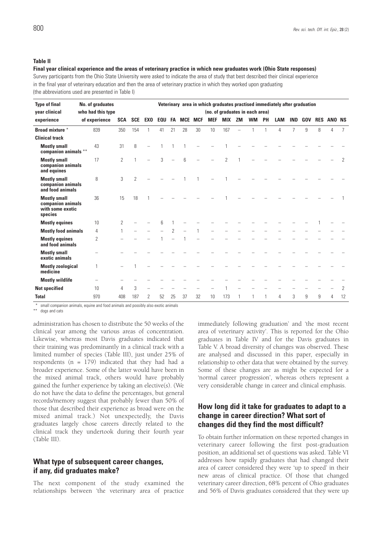#### **Table II**

#### **Final year clinical experience and the areas of veterinary practice in which new graduates work (Ohio State responses)**

Survey participants from the Ohio State University were asked to indicate the area of study that best described their clinical experience in the final year of veterinary education and then the area of veterinary practice in which they worked upon graduating (the abbreviations used are presented in Table I)

| <b>Type of final</b>                                                    | No. of graduates  |                | Veterinary area in which graduates practised immediately after graduation<br>(no. of graduates in each area) |                |                |     |                |            |            |            |               |           |           |           |            |            |            |   |                   |                |
|-------------------------------------------------------------------------|-------------------|----------------|--------------------------------------------------------------------------------------------------------------|----------------|----------------|-----|----------------|------------|------------|------------|---------------|-----------|-----------|-----------|------------|------------|------------|---|-------------------|----------------|
| year clinical                                                           | who had this type |                |                                                                                                              |                |                |     |                |            |            |            |               |           |           |           |            |            |            |   |                   |                |
| experience                                                              | of experience     |                | <b>SCA</b>                                                                                                   | <b>SCE</b>     | <b>EXO</b>     | EQU | FA             | <b>MCE</b> | <b>MCF</b> | <b>MEF</b> | <b>MIX</b>    | <b>ZM</b> | <b>WM</b> | <b>PH</b> | <b>LAM</b> | <b>IND</b> | <b>GOV</b> |   | <b>RES ANO NS</b> |                |
| Broad mixture *                                                         |                   | 839            | 350                                                                                                          | 154            |                | 41  | 21             | 28         | 30         | 10         | 167           |           |           |           | 4          | 7          | 9          | 8 | 4                 | 7              |
| <b>Clinical track</b>                                                   |                   |                |                                                                                                              |                |                |     |                |            |            |            |               |           |           |           |            |            |            |   |                   |                |
| <b>Mostly small</b><br>companion animals **                             |                   | 43             | 31                                                                                                           | 8              |                |     |                |            |            |            |               |           |           |           |            |            |            |   |                   |                |
| <b>Mostly small</b><br>companion animals<br>and equines                 |                   | 17             | $\overline{2}$                                                                                               | 1              |                | 3   |                | 6          |            |            | $\mathcal{P}$ |           |           |           |            |            |            |   |                   | $\overline{2}$ |
| <b>Mostly small</b><br>companion animals<br>and food animals            |                   | 8              | 3                                                                                                            | $\overline{2}$ |                |     |                |            |            |            |               |           |           |           |            |            |            |   |                   |                |
| <b>Mostly small</b><br>companion animals<br>with some exotic<br>species |                   | 36             | 15                                                                                                           | 18             |                |     |                |            |            |            |               |           |           |           |            |            |            |   |                   |                |
| <b>Mostly equines</b>                                                   |                   | 10             | $\overline{2}$                                                                                               |                |                | ĥ   |                |            |            |            |               |           |           |           |            |            |            |   |                   |                |
| <b>Mostly food animals</b>                                              |                   | 4              |                                                                                                              |                |                |     | $\overline{2}$ |            |            |            |               |           |           |           |            |            |            |   |                   |                |
| <b>Mostly equines</b><br>and food animals                               |                   | $\overline{2}$ |                                                                                                              |                |                |     |                |            |            |            |               |           |           |           |            |            |            |   |                   |                |
| <b>Mostly small</b><br>exotic animals                                   |                   |                |                                                                                                              |                |                |     |                |            |            |            |               |           |           |           |            |            |            |   |                   |                |
| <b>Mostly zoological</b><br>medicine                                    |                   |                |                                                                                                              |                |                |     |                |            |            |            |               |           |           |           |            |            |            |   |                   |                |
| <b>Mostly wildlife</b>                                                  |                   |                |                                                                                                              |                |                |     |                |            |            |            |               |           |           |           |            |            |            |   |                   |                |
| <b>Not specified</b>                                                    |                   | 10             | 4                                                                                                            | 3              |                |     |                |            |            |            |               |           |           |           |            |            |            |   |                   | 2              |
| <b>Total</b>                                                            |                   | 970            | 408                                                                                                          | 187            | $\overline{2}$ | 52  | 25             | 37         | 32         | 10         | 173           |           |           | 1         | 4          | 3          | 9          | 9 | 4                 | 12             |

\* small companion animals, equine and food animals and possibly also exotic animals

\*\* dogs and cats

administration has chosen to distribute the 50 weeks of the clinical year among the various areas of concentration. Likewise, whereas most Davis graduates indicated that their training was predominantly in a clinical track with a limited number of species (Table III), just under 25% of respondents ( $n = 179$ ) indicated that they had had a broader experience. Some of the latter would have been in the mixed animal track, others would have probably gained the further experience by taking an elective(s). (We do not have the data to define the percentages, but general records/memory suggest that probably fewer than 50% of those that described their experience as broad were on the mixed animal track.) Not unexpectedly, the Davis graduates largely chose careers directly related to the clinical track they undertook during their fourth year (Table III).

### **What type of subsequent career changes, if any, did graduates make?**

The next component of the study examined the relationships between 'the veterinary area of practice

immediately following graduation' and 'the most recent area of veterinary activity'. This is reported for the Ohio graduates in Table IV and for the Davis graduates in Table V. A broad diversity of changes was observed. These are analysed and discussed in this paper, especially in relationship to other data that were obtained by the survey. Some of these changes are as might be expected for a 'normal career progression', whereas others represent a very considerable change in career and clinical emphasis.

### **How long did it take for graduates to adapt to a change in career direction? What sort of changes did they find the most difficult?**

To obtain further information on these reported changes in veterinary career following the first post-graduation position, an additional set of questions was asked. Table VI addresses how rapidly graduates that had changed their area of career considered they were 'up to speed' in their new areas of clinical practice. Of those that changed veterinary career direction, 68% percent of Ohio graduates and 56% of Davis graduates considered that they were up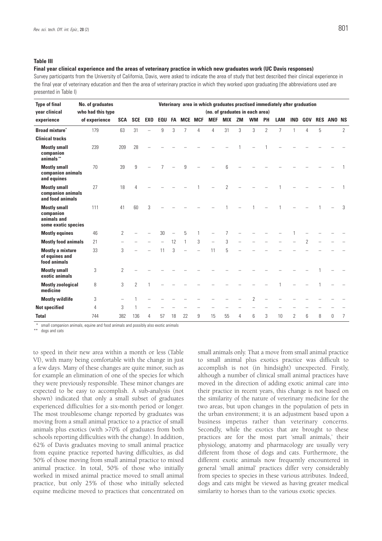#### **Table III**

#### **Final year clinical experience and the areas of veterinary practice in which new graduates work (UC Davis responses)**

Survey participants from the University of California, Davis, were asked to indicate the area of study that best described their clinical experience in the final year of veterinary education and then the area of veterinary practice in which they worked upon graduating (the abbreviations used are presented in Table I)

| <b>Type of final</b><br>year clinical                                  | No. of graduates<br>who had this type | Veterinary area in which graduates practised immediately after graduation<br>(no. of graduates in each area) |                |            |            |    |                |            |                          |               |           |                |                |                |                |            |            |               |                |
|------------------------------------------------------------------------|---------------------------------------|--------------------------------------------------------------------------------------------------------------|----------------|------------|------------|----|----------------|------------|--------------------------|---------------|-----------|----------------|----------------|----------------|----------------|------------|------------|---------------|----------------|
| experience                                                             | of experience                         | <b>SCA</b>                                                                                                   | <b>SCE</b>     | <b>EXO</b> | <b>EQU</b> | FA | <b>MCE</b>     | <b>MCF</b> | <b>MEF</b>               | <b>MIX</b>    | <b>ZM</b> | <b>WM</b>      | PH             | <b>LAM</b>     | <b>IND</b>     | <b>GOV</b> | <b>RES</b> | <b>ANO NS</b> |                |
| <b>Broad mixture</b> *                                                 | 179                                   | 63                                                                                                           | 31             |            | 9          | 3  | $\overline{7}$ | 4          | $\overline{4}$           | 31            | 3         | 3              | $\overline{2}$ | $\overline{7}$ | 1              | 4          | 5          |               | $\overline{2}$ |
| <b>Clinical tracks</b>                                                 |                                       |                                                                                                              |                |            |            |    |                |            |                          |               |           |                |                |                |                |            |            |               |                |
| <b>Mostly small</b><br>companion<br>animals**                          | 239                                   | 209                                                                                                          | 28             |            |            |    |                |            |                          |               |           |                |                |                |                |            |            |               |                |
| <b>Mostly small</b><br>companion animals<br>and equines                | 70                                    | 39                                                                                                           | 9              |            |            |    | 9              |            |                          | հ             |           |                |                |                |                |            |            |               |                |
| <b>Mostly small</b><br>companion animals<br>and food animals           | 27                                    | 18                                                                                                           | 4              |            |            |    |                |            |                          | $\mathcal{P}$ |           |                |                |                |                |            |            |               |                |
| <b>Mostly small</b><br>companion<br>animals and<br>some exotic species | 111                                   | 41                                                                                                           | 60             | 3          |            |    |                |            |                          |               |           |                |                |                |                |            |            |               | 3              |
| <b>Mostly equines</b>                                                  | 46                                    | $\overline{2}$                                                                                               |                |            | 30         |    | 5              | 1          |                          | 7             |           |                |                |                |                |            |            |               |                |
| <b>Mostly food animals</b>                                             | 21                                    |                                                                                                              |                |            |            | 12 | $\mathbf{1}$   | 3          | $\overline{\phantom{a}}$ | 3             |           |                |                |                |                |            |            |               |                |
| <b>Mostly a mixture</b><br>of equines and<br>food animals              | 33                                    | 3                                                                                                            |                |            | 11         | 3  |                |            | 11                       | 5             |           |                |                |                |                |            |            |               |                |
| <b>Mostly small</b><br>exotic animals                                  | 3                                     | 2                                                                                                            |                |            |            |    |                |            |                          |               |           |                |                |                |                |            |            |               |                |
| <b>Mostly zoological</b><br>medicine                                   | 8                                     | 3                                                                                                            | $\overline{2}$ | 1          |            |    |                |            |                          |               |           |                |                |                |                |            |            |               |                |
| <b>Mostly wildlife</b>                                                 | 3                                     |                                                                                                              | 1              |            |            |    |                |            |                          |               |           | $\overline{2}$ |                |                |                |            |            |               |                |
| <b>Not specified</b>                                                   | 4                                     | 3                                                                                                            |                |            |            |    |                |            |                          |               |           |                |                |                |                |            |            |               |                |
| <b>Total</b>                                                           | 744                                   | 382                                                                                                          | 136            | 4          | 57         | 18 | 22             | 9          | 15                       | 55            | 4         | 6              | 3              | 10             | $\overline{2}$ | 6          | 8          | 0             | 7              |

small companion animals, equine and food animals and possibly also exotic animals

\*\* dogs and cats

to speed in their new area within a month or less (Table VI), with many being comfortable with the change in just a few days. Many of these changes are quite minor, such as for example an elimination of one of the species for which they were previously responsible. These minor changes are expected to be easy to accomplish. A sub-analysis (not shown) indicated that only a small subset of graduates experienced difficulties for a six-month period or longer. The most troublesome change reported by graduates was moving from a small animal practice to a practice of small animals plus exotics (with >70% of graduates from both schools reporting difficulties with the change). In addition, 62% of Davis graduates moving to small animal practice from equine practice reported having difficulties, as did 50% of those moving from small animal practice to mixed animal practice. In total, 50% of those who initially worked in mixed animal practice moved to small animal practice, but only 25% of those who initially selected equine medicine moved to practices that concentrated on

small animals only. That a move from small animal practice to small animal plus exotics practice was difficult to accomplish is not (in hindsight) unexpected. Firstly, although a number of clinical small animal practices have moved in the direction of adding exotic animal care into their practice in recent years, this change is not based on the similarity of the nature of veterinary medicine for the two areas, but upon changes in the population of pets in the urban environment; it is an adjustment based upon a business impetus rather than veterinary concerns. Secondly, while the exotics that are brought to these practices are for the most part 'small animals,' their physiology, anatomy and pharmacology are usually very different from those of dogs and cats. Furthermore, the different exotic animals now frequently encountered in general 'small animal' practices differ very considerably from species to species in these various attributes. Indeed, dogs and cats might be viewed as having greater medical similarity to horses than to the various exotic species.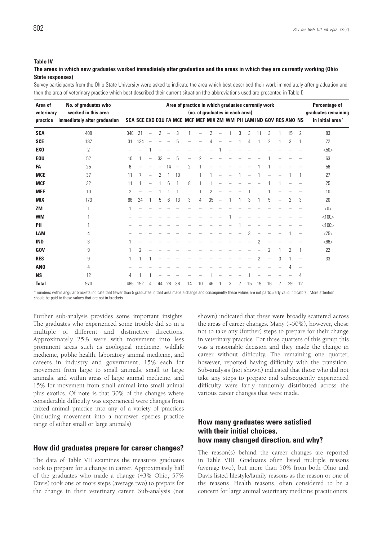#### **Table IV**

#### **The areas in which new graduates worked immediately after graduation and the areas in which they are currently working (Ohio State responses)**

Survey participants from the Ohio State University were asked to indicate the area which best described their work immediately after graduation and then the area of veterinary practice which best described their current situation (the abbreviations used are presented in Table I)

| Area of<br>veterinary | Area of practice in which graduates currently work<br>(no. of graduates in each area) |     |     |                          |    |                          |                          |                                                                    |    |                |                          |   |   | Percentage of<br>graduates remaining |    |    |                          |    |    |                  |
|-----------------------|---------------------------------------------------------------------------------------|-----|-----|--------------------------|----|--------------------------|--------------------------|--------------------------------------------------------------------|----|----------------|--------------------------|---|---|--------------------------------------|----|----|--------------------------|----|----|------------------|
| practice              | worked in this area<br>immediately after graduation                                   |     |     |                          |    |                          |                          | SCA SCE EXO EQU FA MCE MCF MEF MIX ZM WM PH LAM IND GOV RES ANO NS |    |                |                          |   |   |                                      |    |    |                          |    |    | in initial area' |
| <b>SCA</b>            | 408                                                                                   | 340 | 21  | $\overline{\phantom{m}}$ | 2  | $\overline{\phantom{0}}$ | 3                        |                                                                    |    | $\overline{2}$ | Ē.                       |   | 3 | 3                                    | 11 | 3  |                          | 15 | 2  | 83               |
| <b>SCE</b>            | 187                                                                                   | 31  | 134 |                          |    |                          | 5                        |                                                                    |    | 4              |                          |   |   | 4                                    |    | 2  |                          | 3  | 1  | 72               |
| EX <sub>0</sub>       | 2                                                                                     |     |     |                          |    |                          |                          |                                                                    |    |                |                          |   |   |                                      |    |    |                          |    |    | <50>             |
| <b>EQU</b>            | 52                                                                                    | 10  |     | -                        | 33 | $\overline{\phantom{0}}$ | 5                        | $\overline{\phantom{0}}$                                           | 2  |                |                          |   |   |                                      |    |    |                          |    |    | 63               |
| FA                    | 25                                                                                    | 6   |     |                          |    | 14                       | $\overline{\phantom{a}}$ | 2                                                                  |    |                |                          |   |   |                                      |    |    |                          |    |    | 56               |
| <b>MCE</b>            | 37                                                                                    | 11  | 7   |                          | 2  |                          | 10                       |                                                                    |    |                |                          |   |   |                                      |    |    |                          |    |    | 27               |
| <b>MCF</b>            | 32                                                                                    | 11  |     |                          |    | 6                        |                          | 8                                                                  |    |                |                          |   |   |                                      |    |    |                          |    |    | 25               |
| <b>MEF</b>            | 10                                                                                    | 2   |     |                          |    |                          |                          |                                                                    |    | 2              |                          |   |   |                                      |    |    |                          |    |    | 10               |
| <b>MIX</b>            | 173                                                                                   | 66  | 24  |                          | 5  | 6                        | 13                       | 3                                                                  | 4  | 35             | $\overline{\phantom{0}}$ |   |   | 3                                    |    | 5  | $\overline{\phantom{0}}$ | 2  | 3  | 20               |
| <b>ZM</b>             |                                                                                       |     |     |                          |    |                          |                          |                                                                    |    |                |                          |   |   |                                      |    |    |                          |    |    |                  |
| <b>WM</b>             |                                                                                       |     |     |                          |    |                          |                          |                                                                    |    |                |                          |   |   |                                      |    |    |                          |    |    | <100             |
| PH                    |                                                                                       |     |     |                          |    |                          |                          |                                                                    |    |                |                          |   |   |                                      |    |    |                          |    |    | <100             |
| <b>LAM</b>            | 4                                                                                     |     |     |                          |    |                          |                          |                                                                    |    |                |                          |   |   | 3                                    |    |    |                          |    |    | <75              |
| <b>IND</b>            | 3                                                                                     |     |     |                          |    |                          |                          |                                                                    |    |                |                          |   |   |                                      | 2  |    |                          |    |    | <66              |
| <b>GOV</b>            | 9                                                                                     |     | 2   |                          |    |                          |                          |                                                                    |    |                |                          |   |   |                                      |    | 2  |                          | 2  | -1 | 22               |
| <b>RES</b>            | 9                                                                                     |     |     |                          |    |                          |                          |                                                                    |    |                |                          |   |   |                                      | 2  |    | 3                        |    |    | 33               |
| AN <sub>0</sub>       | 4                                                                                     |     |     |                          |    |                          |                          |                                                                    |    |                |                          |   |   |                                      |    |    |                          |    | -  |                  |
| <b>NS</b>             | 12                                                                                    | 4   |     |                          |    |                          |                          |                                                                    |    |                |                          |   |   |                                      |    |    |                          |    | 4  |                  |
| <b>Total</b>          | 970                                                                                   | 485 | 192 | 4                        | 44 | 28                       | 38                       | 14                                                                 | 10 | 46             |                          | 3 |   | 15                                   | 19 | 16 |                          | 29 | 12 |                  |

\* numbers within angular brackets indicate that fewer than 5 graduates in that area made a change and consequently these values are not particularly valid indicators. More attention should be paid to those values that are not in brackets

Further sub-analysis provides some important insights. The graduates who experienced some trouble did so in a multiple of different and distinctive directions. Approximately 25% were with movement into less prominent areas such as zoological medicine, wildlife medicine, public health, laboratory animal medicine, and careers in industry and government, 15% each for movement from large to small animals, small to large animals, and within areas of large animal medicine, and 15% for movement from small animal into small animal plus exotics. Of note is that 30% of the changes where considerable difficulty was experienced were changes from mixed animal practice into any of a variety of practices (including movement into a narrower species practice range of either small or large animals).

### **How did graduates prepare for career changes?**

The data of Table VII examines the measures graduates took to prepare for a change in career. Approximately half of the graduates who made a change (43% Ohio, 57% Davis) took one or more steps (average two) to prepare for the change in their veterinary career. Sub-analysis (not shown) indicated that these were broadly scattered across the areas of career changes. Many (~50%), however, chose not to take any (further) steps to prepare for their change in veterinary practice. For three quarters of this group this was a reasonable decision and they made the change in career without difficulty. The remaining one quarter, however, reported having difficulty with the transition. Sub-analysis (not shown) indicated that those who did not take any steps to prepare and subsequently experienced difficulty were fairly randomly distributed across the various career changes that were made.

### **How many graduates were satisfied with their initial choices, how many changed direction, and why?**

The reason(s) behind the career changes are reported in Table VIII. Graduates often listed multiple reasons (average two), but more than 50% from both Ohio and Davis listed lifestyle/family reasons as the reason or one of the reasons. Health reasons, often considered to be a concern for large animal veterinary medicine practitioners,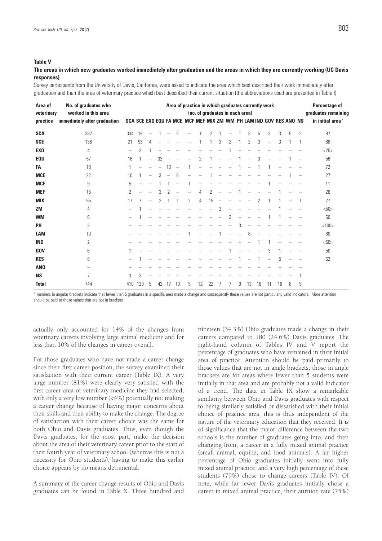#### **The areas in which new graduates worked immediately after graduation and the areas in which they are currently working (UC Davis responses)**

Survey participants from the University of Davis, California, were asked to indicate the area which best described their work immediately after graduation and then the area of veterinary practice which best described their current situation (the abbreviations used are presented in Table I)

| Area of<br>veterinary | No. of graduates who<br>worked in this area | Area of practice in which graduates currently work<br>(no. of graduates in each area) |                |                          |    |                          |                          |                                                                    |    |    |                |   |   |    |    | Percentage of<br>graduates remaining |    |   |                |                              |
|-----------------------|---------------------------------------------|---------------------------------------------------------------------------------------|----------------|--------------------------|----|--------------------------|--------------------------|--------------------------------------------------------------------|----|----|----------------|---|---|----|----|--------------------------------------|----|---|----------------|------------------------------|
| practice              | immediately after graduation                |                                                                                       |                |                          |    |                          |                          | SCA SCE EXO EQU FA MCE MCF MEF MIX ZM WM PH LAM IND GOV RES ANO NS |    |    |                |   |   |    |    |                                      |    |   |                | in initial area <sup>*</sup> |
| <b>SCA</b>            | 382                                         | 334                                                                                   | 19             | L.                       |    |                          | 2                        |                                                                    |    | 2  |                |   |   | 3  | 5  | 3                                    | 3  | 5 | $\overline{2}$ | 87                           |
| <b>SCE</b>            | 136                                         | 21                                                                                    | 93             | 4                        |    |                          |                          |                                                                    |    |    | 3              | 2 |   | 2  | 3  |                                      | 3  |   |                | 68                           |
| <b>EXO</b>            | 4                                           | $\qquad \qquad -$                                                                     | $\overline{2}$ |                          |    |                          |                          |                                                                    |    |    |                |   |   |    |    |                                      |    |   |                | <25>                         |
| <b>EQU</b>            | 57                                          | 16                                                                                    | $\mathbf{1}$   | $\overline{\phantom{0}}$ | 32 |                          |                          |                                                                    | 2  |    |                |   |   |    | 3  |                                      |    |   |                | 56                           |
| FA                    | 18                                          |                                                                                       |                |                          |    | 13                       | $\overline{\phantom{a}}$ |                                                                    |    |    |                |   |   |    |    |                                      |    |   |                | 72                           |
| <b>MCE</b>            | 22                                          | 10                                                                                    |                |                          | 3  | $\overline{\phantom{0}}$ | 6                        |                                                                    |    |    |                |   |   |    |    |                                      |    |   |                | 27                           |
| <b>MCF</b>            | 9                                           | 5                                                                                     |                |                          |    |                          |                          |                                                                    |    |    |                |   |   |    |    |                                      |    |   |                | 11                           |
| <b>MEF</b>            | 15                                          | 2                                                                                     |                |                          | 3  |                          |                          |                                                                    | 4  | 2  |                |   |   |    |    |                                      |    |   |                | 26                           |
| <b>MIX</b>            | 55                                          | 17                                                                                    |                |                          | 2  |                          | 2                        | 2                                                                  | 4  | 15 |                |   |   |    | 2  |                                      |    |   |                | 27                           |
| <b>ZM</b>             | 4                                           |                                                                                       |                |                          |    |                          |                          |                                                                    |    |    | $\overline{2}$ |   |   |    |    |                                      |    |   |                | <50>                         |
| <b>WM</b>             | 6                                           |                                                                                       |                |                          |    |                          |                          |                                                                    |    |    |                | 3 |   |    |    |                                      |    |   |                | 50                           |
| PH                    | 3                                           |                                                                                       |                |                          |    |                          |                          |                                                                    |    |    |                |   | 3 |    |    |                                      |    |   |                | <100                         |
| <b>LAM</b>            | 10                                          |                                                                                       |                |                          |    |                          |                          |                                                                    |    |    |                |   |   | 8  |    |                                      |    |   |                | 80                           |
| <b>IND</b>            | $\overline{2}$                              |                                                                                       |                |                          |    |                          |                          |                                                                    |    |    |                |   |   |    |    |                                      |    |   |                | $50$                         |
| <b>GOV</b>            | 6                                           |                                                                                       |                |                          |    |                          |                          |                                                                    |    |    |                |   |   |    |    | 3                                    |    |   |                | 50                           |
| <b>RES</b>            | 8                                           |                                                                                       |                |                          |    |                          |                          |                                                                    |    |    |                |   |   |    |    |                                      | 5  |   |                | 62                           |
| AN <sub>0</sub>       |                                             |                                                                                       |                |                          |    |                          |                          |                                                                    |    |    |                |   |   |    |    |                                      |    |   |                |                              |
| <b>NS</b>             | 7                                           | 3                                                                                     | 3              |                          |    |                          |                          |                                                                    |    |    |                |   |   |    |    |                                      |    |   |                |                              |
| <b>Total</b>          | 744                                         | 410                                                                                   | 129            | 5                        | 42 | 17                       | 10                       | 5                                                                  | 12 | 22 |                | 7 | 9 | 13 | 16 | 11                                   | 16 | 8 | 5              |                              |

\* numbers in angular brackets indicate that fewer than 5 graduates in a specific area made a change and consequently these values are not particularly valid indicators. More attention should be paid to those values that are not in brackets

actually only accounted for 14% of the changes from veterinary careers involving large animal medicine and for less than 10% of the changes in career overall.

For those graduates who have not made a career change since their first career position, the survey examined their satisfaction with their current career (Table IX). A very large number (81%) were clearly very satisfied with the first career area of veterinary medicine they had selected, with only a very low number (<4%) potentially not making a career change because of having major concerns about their skills and their ability to make the change. The degree of satisfaction with their career choice was the same for both Ohio and Davis graduates. Thus, even though the Davis graduates, for the most part, make the decision about the area of their veterinary career prior to the start of their fourth year of veterinary school (whereas this is not a necessity for Ohio students), having to make this earlier choice appears by no means detrimental.

A summary of the career change results of Ohio and Davis graduates can be found in Table X. Three hundred and

nineteen (34.3%) Ohio graduates made a change in their careers compared to 180 (24.6%) Davis graduates. The right-hand column of Tables IV and V report the percentage of graduates who have remained in their initial area of practice. Attention should be paid primarily to those values that are not in angle brackets; those in angle brackets are for areas where fewer than 5 students were initially in that area and are probably not a valid indicator of a trend. The data in Table IX show a remarkable similarity between Ohio and Davis graduates with respect to being similarly satisfied or dissatisfied with their initial choice of practice area; this is thus independent of the nature of the veterinary education that they received. It is of significance that the major difference between the two schools is the number of graduates going into, and then changing from, a career in a fully mixed animal practice (small animal, equine, and food animals). A far higher percentage of Ohio graduates initially went into fully mixed animal practice, and a very high percentage of these students (79%) chose to change careers (Table IV). Of note, while far fewer Davis graduates initially chose a career in mixed animal practice, their attrition rate (75%)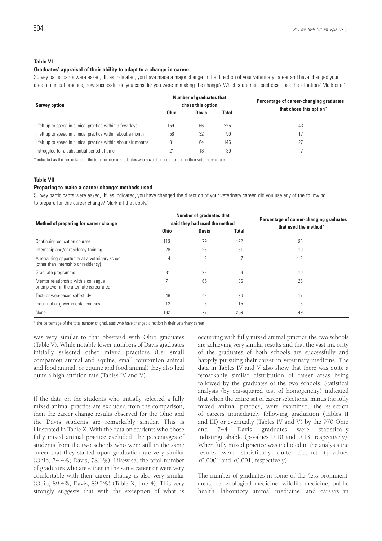#### **Table VI**

#### **Graduates' appraisal of their ability to adapt to a change in career**

Survey participants were asked, 'If, as indicated, you have made a major change in the direction of your veterinary career and have changed your area of clinical practice, how successful do you consider you were in making the change? Which statement best describes the situation? Mark one.'

| <b>Survey option</b>                                            |             | <b>Number of graduates that</b><br>chose this option |       | Percentage of career-changing graduates<br>that chose this option" |  |  |  |  |
|-----------------------------------------------------------------|-------------|------------------------------------------------------|-------|--------------------------------------------------------------------|--|--|--|--|
|                                                                 | <b>Ohio</b> | <b>Davis</b>                                         | Total |                                                                    |  |  |  |  |
| I felt up to speed in clinical practice within a few days       | 159         | 66                                                   | 225   | 43                                                                 |  |  |  |  |
| I felt up to speed in clinical practice within about a month    | 58          | 32                                                   | 90    |                                                                    |  |  |  |  |
| I felt up to speed in clinical practice within about six months | 81          | 64                                                   | 145   |                                                                    |  |  |  |  |
| I struggled for a substantial period of time                    |             | 18                                                   | 39    |                                                                    |  |  |  |  |

\* indicated as the percentage of the total number of graduates who have changed direction in their veterinary career

#### **Table VII**

#### **Preparing to make a career change: methods used**

Survey participants were asked, 'If, as indicated, you have changed the direction of your veterinary career, did you use any of the following to prepare for this career change? Mark all that apply.'

| Method of preparing for career change                                                   |             | <b>Number of graduates that</b><br>said they had used the method | Percentage of career-changing graduates<br>that used the method" |     |  |  |
|-----------------------------------------------------------------------------------------|-------------|------------------------------------------------------------------|------------------------------------------------------------------|-----|--|--|
|                                                                                         | <b>Ohio</b> | <b>Davis</b>                                                     | <b>Total</b>                                                     |     |  |  |
| Continuing education courses                                                            | 113         | 79                                                               | 192                                                              | 36  |  |  |
| Internship and/or residency training                                                    | 28          | 23                                                               | 51                                                               | 10  |  |  |
| A retraining opportunity at a veterinary school<br>(other than internship or residency) | 4           | 3                                                                |                                                                  | 1.3 |  |  |
| Graduate programme                                                                      | 31          | 22                                                               | 53                                                               | 10  |  |  |
| Mentor relationship with a colleague<br>or employer in the alternate career area        | 71          | 65                                                               | 136                                                              | 26  |  |  |
| Text- or web-based self-study                                                           | 48          | 42                                                               | 90                                                               | 17  |  |  |
| Industrial or governmental courses                                                      | 12          | 3                                                                | 15                                                               | 3   |  |  |
| None                                                                                    | 182         | 77                                                               | 259                                                              | 49  |  |  |

\* the percentage of the total number of graduates who have changed direction in their veterinary career

was very similar to that observed with Ohio graduates (Table V). While notably lower numbers of Davis graduates initially selected other mixed practices (i.e. small companion animal and equine, small companion animal and food animal, or equine and food animal) they also had quite a high attrition rate (Tables IV and V).

If the data on the students who initially selected a fully mixed animal practice are excluded from the comparison, then the career change results observed for the Ohio and the Davis students are remarkably similar. This is illustrated in Table X. With the data on students who chose fully mixed animal practice excluded, the percentages of students from the two schools who were still in the same career that they started upon graduation are very similar (Ohio, 74.4%; Davis, 78.1%). Likewise, the total number of graduates who are either in the same career or were very comfortable with their career change is also very similar (Ohio, 89.4%; Davis, 89.2%) (Table X, line 4). This very strongly suggests that with the exception of what is

occurring with fully mixed animal practice the two schools are achieving very similar results and that the vast majority of the graduates of both schools are successfully and happily pursuing their career in veterinary medicine. The data in Tables IV and V also show that there was quite a remarkably similar distribution of career areas being followed by the graduates of the two schools. Statistical analysis (by chi-squared test of homogeneity) indicated that when the entire set of career selections, minus the fully mixed animal practice, were examined, the selection of careers immediately following graduation (Tables II and III) or eventually (Tables IV and V) by the 970 Ohio and 744 Davis graduates were statistically indistinguishable (p-values 0.10 and 0.13, respectively). When fully mixed practice was included in the analysis the results were statistically quite distinct (p-values <0.0001 and <0.001, respectively).

The number of graduates in some of the 'less prominent' areas, i.e. zoological medicine, wildlife medicine, public health, laboratory animal medicine, and careers in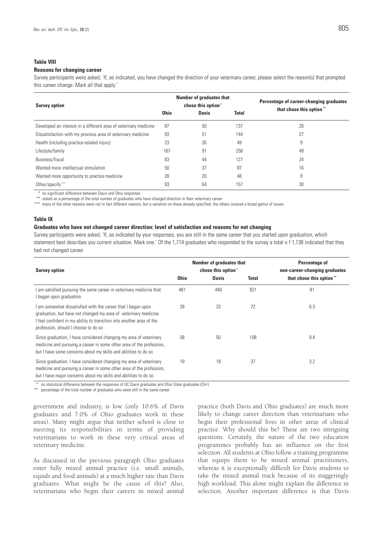#### **Table VIII**

#### **Reasons for changing career**

Survey participants were asked, 'If, as indicated, you have changed the direction of your veterinary career, please select the reason(s) that prompted this career change. Mark all that apply.'

| <b>Survey option</b>                                             |             | <b>Number of graduates that</b><br>chose this option' |              | Percentage of career-changing graduates<br>that chose this option" |
|------------------------------------------------------------------|-------------|-------------------------------------------------------|--------------|--------------------------------------------------------------------|
|                                                                  | <b>Ohio</b> | <b>Davis</b>                                          | <b>Total</b> |                                                                    |
| Developed an interest in a different area of veterinary medicine | 87          | 50                                                    | 137          | 26                                                                 |
| Dissatisfaction with my previous area of veterinary medicine     | 93          | 51                                                    | 144          | 27                                                                 |
| Health (including practice-related injury)                       | 23          | 26                                                    | 49           | 9                                                                  |
| Lifestyle/family                                                 | 167         | 91                                                    | 258          | 49                                                                 |
| Business/fiscal                                                  | 83          | 44                                                    | 127          | 24                                                                 |
| Wanted more intellectual stimulation                             | 50          | 37                                                    | 87           | 16                                                                 |
| Wanted more opportunity to practice medicine                     | 28          | 20                                                    | 48           | 9                                                                  |
| Other/specify***                                                 | 93          | 64                                                    | 157          | 30                                                                 |

no significant difference between Davis and Ohio responses

stated as a percentage of the total number of graduates who have changed direction in their veterinary career

\*\*\* many of the other reasons were not in fact different reasons, but a variation on those already specified, the others covered a broad gamut of issues

#### **Table IX**

#### **Graduates who have not changed career direction: level of satisfaction and reasons for not changing**

Survey participants were asked, 'If, as indicated by your responses, you are still in the same career that you started upon graduation, which statement best describes you current situation. Mark one.' Of the 1,714 graduates who responded to the survey a total o f 1,138 indicated that they had not changed career

| <b>Survey option</b>                                                                                                                                                                                                                              |             | <b>Number of graduates that</b><br>chose this option* | Percentage of<br>non-career-changing graduates |                         |  |  |  |
|---------------------------------------------------------------------------------------------------------------------------------------------------------------------------------------------------------------------------------------------------|-------------|-------------------------------------------------------|------------------------------------------------|-------------------------|--|--|--|
|                                                                                                                                                                                                                                                   | <b>Ohio</b> | <b>Davis</b>                                          | <b>Total</b>                                   | that chose this option" |  |  |  |
| I am satisfied pursuing the same career in veterinary medicine that<br>I began upon graduation                                                                                                                                                    | 481         | 440                                                   | 921                                            | 81                      |  |  |  |
| I am somewhat dissatisfied with the career that I began upon<br>graduation, but have not changed my area of veterinary medicine.<br>I feel confident in my ability to transition into another area of the<br>profession, should I choose to do so | 39          | 33                                                    | 72                                             | 6.3                     |  |  |  |
| Since graduation, I have considered changing my area of veterinary<br>medicine and pursuing a career in some other area of the profession,<br>but I have some concerns about my skills and abilities to do so                                     | 58          | 50                                                    | 108                                            | 9.4                     |  |  |  |
| Since graduation, I have considered changing my area of veterinary<br>medicine and pursuing a career in some other area of the profession,<br>but I have major concerns about my skills and abilities to do so                                    | 19          | 18                                                    | 37                                             | 3.2                     |  |  |  |

\* no statistical difference between the responses of UC Davis graduates and Ohio State graduates (Chi2 )

percentage of the total number of graduates who were still in the same career

government and industry, is low (only 10.6% of Davis graduates and 7.0% of Ohio graduates work in these areas). Many might argue that neither school is close to meeting its responsibilities in terms of providing veterinarians to work in these very critical areas of veterinary medicine.

As discussed in the previous paragraph Ohio graduates enter fully mixed animal practice (i.e. small animals, equids and food animals) at a much higher rate than Davis graduates. What might be the cause of this? Also, veterinarians who begin their careers in mixed animal

practice (both Davis and Ohio graduates) are much more likely to change career direction than veterinarians who begin their professional lives in other areas of clinical practice. Why should this be? These are two intriguing questions. Certainly, the nature of the two education programmes probably has an influence on the first selection. All students at Ohio follow a training programme that equips them to be mixed animal practitioners, whereas it is exceptionally difficult for Davis students to take the mixed animal track because of its staggeringly high workload. This alone might explain the difference in selection. Another important difference is that Davis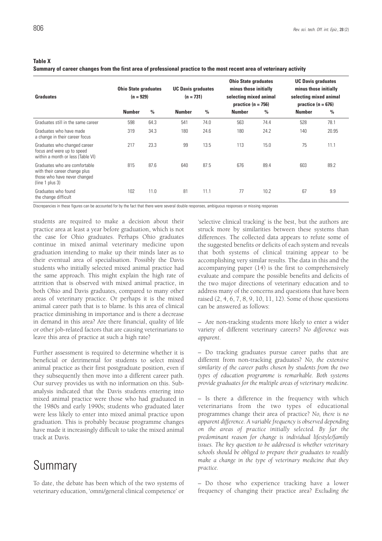**Table X**

#### **Summary of career changes from the first area of professional practice to the most recent area of veterinary activity**

| <b>Graduates</b>                                                                                                  | <b>Ohio State graduates</b><br>$(n = 929)$ |               | <b>UC Davis graduates</b><br>$(n = 731)$ |      | <b>Ohio State graduates</b><br>minus those initially<br>selecting mixed animal<br>practice ( $n = 756$ ) |               | <b>UC Davis graduates</b><br>minus those initially<br>selecting mixed animal<br>practice ( $n = 676$ ) |               |  |  |
|-------------------------------------------------------------------------------------------------------------------|--------------------------------------------|---------------|------------------------------------------|------|----------------------------------------------------------------------------------------------------------|---------------|--------------------------------------------------------------------------------------------------------|---------------|--|--|
|                                                                                                                   | <b>Number</b>                              | $\frac{0}{0}$ | <b>Number</b>                            | $\%$ | <b>Number</b>                                                                                            | $\frac{0}{0}$ | <b>Number</b>                                                                                          | $\frac{0}{0}$ |  |  |
| Graduates still in the same career                                                                                | 598                                        | 64.3          | 541                                      | 74.0 | 563                                                                                                      | 74.4          | 528                                                                                                    | 78.1          |  |  |
| Graduates who have made<br>a change in their career focus                                                         | 319                                        | 34.3          | 180                                      | 24.6 | 180                                                                                                      | 24.2          | 140                                                                                                    | 20.95         |  |  |
| Graduates who changed career<br>focus and were up to speed<br>within a month or less (Table VI)                   | 217                                        | 23.3          | 99                                       | 13.5 | 113                                                                                                      | 15.0          | 75                                                                                                     | 11.1          |  |  |
| Graduates who are comfortable<br>with their career change plus<br>those who have never changed<br>(line 1 plus 3) | 815                                        | 87.6          | 640                                      | 87.5 | 676                                                                                                      | 89.4          | 603                                                                                                    | 89.2          |  |  |
| Graduates who found<br>the change difficult                                                                       | 102                                        | 11.0          | 81                                       | 11.1 | 77                                                                                                       | 10.2          | 67                                                                                                     | 9.9           |  |  |

Discrepancies in these figures can be accounted for by the fact that there were several double responses, ambiguous responses or missing responses

students are required to make a decision about their practice area at least a year before graduation, which is not the case for Ohio graduates. Perhaps Ohio graduates continue in mixed animal veterinary medicine upon graduation intending to make up their minds later as to their eventual area of specialisation. Possibly the Davis students who initially selected mixed animal practice had the same approach. This might explain the high rate of attrition that is observed with mixed animal practice, in both Ohio and Davis graduates, compared to many other areas of veterinary practice. Or perhaps it is the mixed animal career path that is to blame. Is this area of clinical practice diminishing in importance and is there a decrease in demand in this area? Are there financial, quality of life or other job-related factors that are causing veterinarians to leave this area of practice at such a high rate?

Further assessment is required to determine whether it is beneficial or detrimental for students to select mixed animal practice as their first postgraduate position, even if they subsequently then move into a different career path. Our survey provides us with no information on this. Subanalysis indicated that the Davis students entering into mixed animal practice were those who had graduated in the 1980s and early 1990s; students who graduated later were less likely to enter into mixed animal practice upon graduation. This is probably because programme changes have made it increasingly difficult to take the mixed animal track at Davis.

## Summary

To date, the debate has been which of the two systems of veterinary education, 'omni/general clinical competence' or

'selective clinical tracking' is the best, but the authors are struck more by similarities between these systems than differences. The collected data appears to refute some of the suggested benefits or deficits of each system and reveals that both systems of clinical training appear to be accomplishing very similar results. The data in this and the accompanying paper (14) is the first to comprehensively evaluate and compare the possible benefits and deficits of the two major directions of veterinary education and to address many of the concerns and questions that have been raised (2, 4, 6, 7, 8, 9, 10, 11, 12). Some of those questions can be answered as follows:

– Are non-tracking students more likely to enter a wider variety of different veterinary careers? *No difference was apparent*.

– Do tracking graduates pursue career paths that are different from non-tracking graduates? *No, the extensive similarity of the career paths chosen by students from the two types of education programme is remarkable. Both systems provide graduates for the multiple areas of veterinary medicine.*

– Is there a difference in the frequency with which veterinarians from the two types of educational programmes change their area of practice? *No, there is no apparent difference. A variable frequency is observed depending on the areas of practice initially selected. By far the predominant reason for change is individual lifestyle/family issues. The key question to be addressed is whether veterinary schools should be obliged to prepare their graduates to readily make a change in the type of veterinary medicine that they practice.*

– Do those who experience tracking have a lower frequency of changing their practice area? *Excluding the*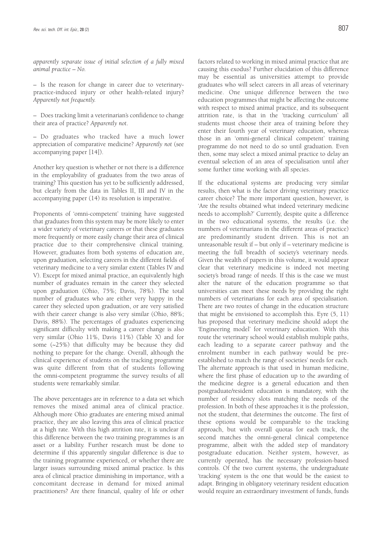*apparently separate issue of initial selection of a fully mixed animal practice – No.*

– Is the reason for change in career due to veterinarypractice-induced injury or other health-related injury? *Apparently not frequently.*

– Does tracking limit a veterinarian's confidence to change their area of practice? *Apparently not*.

– Do graduates who tracked have a much lower appreciation of comparative medicine? *Apparently not* (see accompanying paper [14]).

Another key question is whether or not there is a difference in the employability of graduates from the two areas of training? This question has yet to be sufficiently addressed, but clearly from the data in Tables II, III and IV in the accompanying paper (14) its resolution is imperative.

Proponents of 'omni-competent' training have suggested that graduates from this system may be more likely to enter a wider variety of veterinary careers or that these graduates more frequently or more easily change their area of clinical practice due to their comprehensive clinical training. However, graduates from both systems of education are, upon graduation, selecting careers in the different fields of veterinary medicine to a very similar extent (Tables IV and V). Except for mixed animal practice, an equivalently high number of graduates remain in the career they selected upon graduation (Ohio, 75%; Davis, 78%). The total number of graduates who are either very happy in the career they selected upon graduation, or are very satisfied with their career change is also very similar (Ohio, 88%; Davis, 88%). The percentages of graduates experiencing significant difficulty with making a career change is also very similar (Ohio 11%, Davis 11%) (Table X) and for some (~25%) that difficulty may be because they did nothing to prepare for the change. Overall, although the clinical experience of students on the tracking programme was quite different from that of students following the omni-competent programme the survey results of all students were remarkably similar.

The above percentages are in reference to a data set which removes the mixed animal area of clinical practice. Although more Ohio graduates are entering mixed animal practice, they are also leaving this area of clinical practice at a high rate. With this high attrition rate, it is unclear if this difference between the two training programmes is an asset or a liability. Further research must be done to determine if this apparently singular difference is due to the training programme experienced, or whether there are larger issues surrounding mixed animal practice. Is this area of clinical practice diminishing in importance, with a concomitant decrease in demand for mixed animal practitioners? Are there financial, quality of life or other

factors related to working in mixed animal practice that are causing this exodus? Further elucidation of this difference may be essential as universities attempt to provide graduates who will select careers in all areas of veterinary medicine. One unique difference between the two education programmes that might be affecting the outcome with respect to mixed animal practice, and its subsequent attrition rate, is that in the 'tracking curriculum' all students must choose their area of training before they enter their fourth year of veterinary education, whereas those in an 'omni-general clinical competent' training programme do not need to do so until graduation. Even then, some may select a mixed animal practice to delay an eventual selection of an area of specialisation until after some further time working with all species.

If the educational systems are producing very similar results, then what is the factor driving veterinary practice career choice? The more important question, however, is 'Are the results obtained what indeed veterinary medicine needs to accomplish?' Currently, despite quite a difference in the two educational systems, the results (i.e. the numbers of veterinarians in the different areas of practice) are predominantly student driven. This is not an unreasonable result if – but only if – veterinary medicine is meeting the full breadth of society's veterinary needs. Given the wealth of papers in this volume, it would appear clear that veterinary medicine is indeed not meeting society's broad range of needs. If this is the case we must alter the nature of the education programme so that universities can meet these needs by providing the right numbers of veterinarians for each area of specialisation. There are two routes of change in the education structure that might be envisioned to accomplish this. Eyre (5, 11) has proposed that veterinary medicine should adopt the 'Engineering model' for veterinary education. With this route the veterinary school would establish multiple paths, each leading to a separate career pathway and the enrolment number in each pathway would be preestablished to match the range of societies' needs for each. The alternate approach is that used in human medicine, where the first phase of education up to the awarding of the medicine degree is a general education and then postgraduate/resident education is mandatory, with the number of residency slots matching the needs of the profession. In both of these approaches it is the profession, not the student, that determines the outcome. The first of these options would be comparable to the tracking approach, but with overall quotas for each track, the second matches the omni-general clinical competence programme, albeit with the added step of mandatory postgraduate education. Neither system, however, as currently operated, has the necessary profession-based controls. Of the two current systems, the undergraduate 'tracking' system is the one that would be the easiest to adapt. Bringing in obligatory veterinary resident education would require an extraordinary investment of funds, funds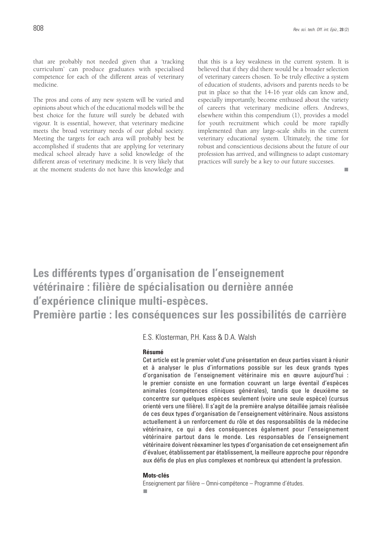that are probably not needed given that a 'tracking curriculum' can produce graduates with specialised competence for each of the different areas of veterinary medicine.

The pros and cons of any new system will be varied and opinions about which of the educational models will be the best choice for the future will surely be debated with vigour. It is essential, however, that veterinary medicine meets the broad veterinary needs of our global society. Meeting the targets for each area will probably best be accomplished if students that are applying for veterinary medical school already have a solid knowledge of the different areas of veterinary medicine. It is very likely that at the moment students do not have this knowledge and that this is a key weakness in the current system. It is believed that if they did there would be a broader selection of veterinary careers chosen. To be truly effective a system of education of students, advisors and parents needs to be put in place so that the 14-16 year olds can know and, especially importantly, become enthused about the variety of careers that veterinary medicine offers. Andrews, elsewhere within this compendium (1), provides a model for youth recruitment which could be more rapidly implemented than any large-scale shifts in the current veterinary educational system. Ultimately, the time for robust and conscientious decisions about the future of our profession has arrived, and willingness to adapt customary practices will surely be a key to our future successes.

 $\mathbf{r}$ 

## **Les différents types d'organisation de l'enseignement vétérinaire : filière de spécialisation ou dernière année d'expérience clinique multi-espèces.**

**Première partie : les conséquences sur les possibilités de carrière**

E.S. Klosterman, P.H. Kass & D.A. Walsh

### **Résumé**

Cet article est le premier volet d'une présentation en deux parties visant à réunir et à analyser le plus d'informations possible sur les deux grands types d'organisation de l'enseignement vétérinaire mis en œuvre aujourd'hui : le premier consiste en une formation couvrant un large éventail d'espèces animales (compétences cliniques générales), tandis que le deuxième se concentre sur quelques espèces seulement (voire une seule espèce) (cursus orienté vers une filière). Il s'agit de la première analyse détaillée jamais réalisée de ces deux types d'organisation de l'enseignement vétérinaire. Nous assistons actuellement à un renforcement du rôle et des responsabilités de la médecine vétérinaire, ce qui a des conséquences également pour l'enseignement vétérinaire partout dans le monde. Les responsables de l'enseignement vétérinaire doivent réexaminer les types d'organisation de cet enseignement afin d'évaluer, établissement par établissement, la meilleure approche pour répondre aux défis de plus en plus complexes et nombreux qui attendent la profession.

#### **Mots-clés**

Enseignement par filière – Omni-compétence – Programme d'études.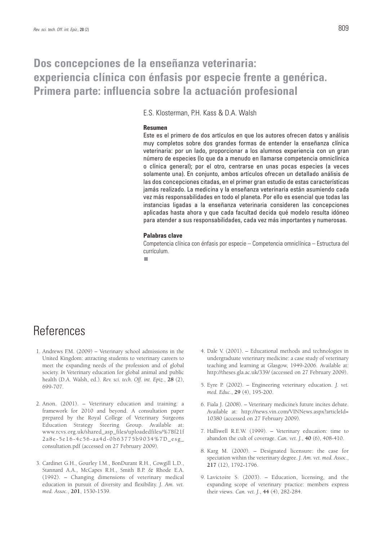## **Dos concepciones de la enseñanza veterinaria: experiencia clínica con énfasis por especie frente a genérica. Primera parte: influencia sobre la actuación profesional**

E.S. Klosterman, P.H. Kass & D.A. Walsh

#### **Resumen**

Este es el primero de dos artículos en que los autores ofrecen datos y análisis muy completos sobre dos grandes formas de entender la enseñanza clínica veterinaria: por un lado, proporcionar a los alumnos experiencia con un gran número de especies (lo que da a menudo en llamarse competencia omniclínica o clínica general); por el otro, centrarse en unas pocas especies (a veces solamente una). En conjunto, ambos artículos ofrecen un detallado análisis de las dos concepciones citadas, en el primer gran estudio de estas características jamás realizado. La medicina y la enseñanza veterinaria están asumiendo cada vez más responsabilidades en todo el planeta. Por ello es esencial que todas las instancias ligadas a la enseñanza veterinaria consideren las concepciones aplicadas hasta ahora y que cada facultad decida qué modelo resulta idóneo para atender a sus responsabilidades, cada vez más importantes y numerosas.

#### **Palabras clave**

Competencia clínica con énfasis por especie – Competencia omniclínica – Estructura del currículum.

٠

## References

- 1. Andrews F.M. (2009) Veterinary school admissions in the United Kingdom: attracting students to veterinary careers to meet the expanding needs of the profession and of global society. *In* Veterinary education for global animal and public health (D.A. Walsh, ed.). *Rev. sci. tech. Off. int. Epiz.*, **28** (2), 699-707.
- 2. Anon. (2001). Veterinary education and training: a framework for 2010 and beyond. A consultation paper prepared by the Royal College of Veterinary Surgeons Education Strategy Steering Group. Available at: www.rcvs.org.uk/shared\_asp\_files/uploadedfiles/%7Bf21f 2a8e-5e16-4c56-aa4d-0b63775b9034%7D\_esg\_ consultation.pdf (accessed on 27 February 2009).
- 3. Cardinet G.H., Gourley I.M., BonDurant R.H., Cowgill L.D., Stannard A.A., McCapes R.H., Smith B.P. & Rhode E.A. (1992). – Changing dimensions of veterinary medical education in pursuit of diversity and flexibility. *J. Am. vet. med. Assoc.*, **201**, 1530-1539.
- 4. Dale V. (2001). Educational methods and technologies in undergraduate veterinary medicine: a case study of veterinary teaching and learning at Glasgow, 1949-2006. Available at: http://theses.gla.ac.uk/339/ (accessed on 27 February 2009).
- 5. Eyre P. (2002). Engineering veterinary education. *J. vet. med. Educ.*, **29** (4), 195-200.
- 6. Fiala J. (2008). Veterinary medicine's future incites debate. Available at: http://news.vin.com/VINNews.aspx?articleId= 10380 (accessed on 27 February 2009).
- 7. Halliwell R.E.W. (1999). Veterinary education: time to abandon the cult of coverage. *Can. vet. J.*, **40** (6), 408-410.
- 8. Karg M. (2000). Designated licensure: the case for speciation within the veterinary degree. *J. Am. vet. med. Assoc.*, **217** (12), 1792-1796.
- 9. Lavictoire S. (2003). Education, licensing, and the expanding scope of veterinary practice: members express their views. *Can. vet. J.*, **44** (4), 282-284.